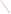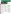

# science in ACTION **G A SCIENTIFIC FOUNDATION FOR SOUND ENVIRONMENTAL DECISIONS**

www.epa.gov/ord



## **ECOLOGICAL** RESEARCH PROGRAM In cooperation with Regions 5, 7 and 8

# **FUTURE MIDWESTERN LANDSCAPES STUDY FOCUSES ON ECOSYSTEM SERVICES**

### **Issue:**

EPA's Ecological Research Program (ERP) in the Office of Research and Development (ORD) is focused on the study of ecosystem services, or the benefits to human well-being provided by ecological systems. The ERP is initiating studies of ecosystem services in a number of specific places in the United States to better understand these services, and to develop analytical tools that enable decisionmakers to take these benefits into account.

One study will be conducted in the Midwest. The Midwest region is critically important in supplying national and global demand for food, fiber, and fuel. Midwestern landscapes also play essential roles in the supply of water to homes and farms, recreation, flood control, and a host of other benefits essential to the quality of life.

The rapid growth of the biofuels industry, which uses crops and other biomass to make liquid fuel, is causing changes in agricultural practices and land uses across the U.S., and most strikingly in the Midwest. EPA's

Regional offices are interested in the long-term environmental implications of these changes. Therefore one component of the ERP, the **Future Midwestern Landscapes (FML) Study,** will examine projected changes in landscapes and ecosystem services in the Midwest. Given its immediate influence, biofuel production will be studied as a primary driver of landscape change.

### **Scientific Objectives:**

The study goals are to:

- Understand how current and projected land uses affect the ecosystem services provided by Midwestern landscapes.
- Provide spatially explicit information that will enable EPA Regions and Programs to articulate sustainable approaches to environmental management.
- Develop web-based tools depicting alternative futures so users can evaluate trade-offs affecting ecosystem services.



**Figure 1. Bioethanol plants in the U.S. as of May, 2007 and proposed ecosystem services study area**

### **Application and Impact:**

For a large area of the Midwest, researchers will work with decision makers and use economic and spatial modeling tools to construct alternative landscapes that reflect different assumptions about biofuels policy, technology, and landscape management over the next  $10 - 20$ years. Some of these will be at the scale of the entire study region, others at subregional or watershed scales. Two distinct types of future scenarios will be created, differing in how landscape change is approached:

**Policy-driven scenarios** will use forecasting tools to project the landscapes that would be expected to